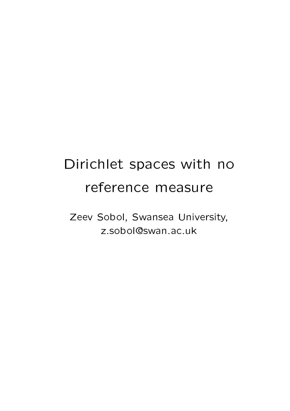# Dirichlet spaces with no reference measure

Zeev Sobol, Swansea University, z.sobol@swan.ac.uk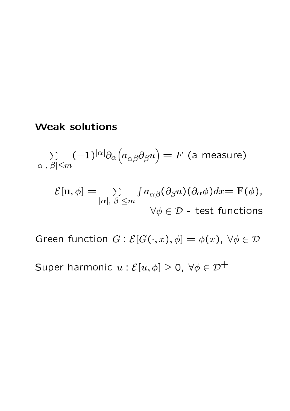# Weak solutions

$$
\sum_{|\alpha|,|\beta| \le m} (-1)^{|\alpha|} \partial_{\alpha} (a_{\alpha\beta} \partial_{\beta} u) = F \text{ (a measure)}
$$
  

$$
\mathcal{E}[\mathbf{u}, \phi] = \sum_{|\alpha|,|\beta| \le m} \int a_{\alpha\beta} (\partial_{\beta} u) (\partial_{\alpha} \phi) dx = \mathbf{F}(\phi),
$$

 $\forall \phi \in \mathcal{D}$  - test functions

Green function  $G : \mathcal{E}[G(\cdot,x),\phi] = \phi(x)$ ,  $\forall \phi \in \mathcal{D}$ 

Super-harmonic  $u : \mathcal{E}[u, \phi] \geq 0$ ,  $\forall \phi \in \mathcal{D}^+$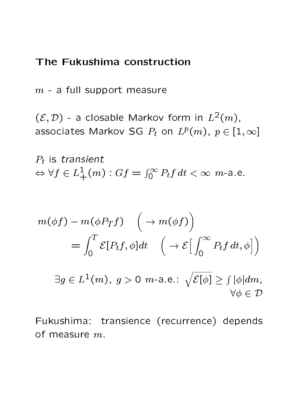#### The Fukushima construction

 $m$  - a full support measure

 $(\mathcal{E}, \mathcal{D})$  - a closable Markov form in  $L^2(m)$ , associates Markov SG  $P_t$  on  $L^p(m)$ ,  $p \in [1,\infty]$ 

 $P_t$  is transient  $\Leftrightarrow \forall f\in L^1_+(m):Gf=\int_0^\infty P_tf\,dt<\infty\,$  m-a.e.

$$
m(\phi f) - m(\phi P_T f) \quad \left( \to m(\phi f) \right)
$$
  
=  $\int_0^T \mathcal{E}[P_t f, \phi] dt \quad \left( \to \mathcal{E} \Big[ \int_0^\infty P_t f dt, \phi \Big] \right)$   

$$
\exists g \in L^1(m), g > 0 \text{ m-a.e.: } \sqrt{\mathcal{E}[\phi]} \ge \int |\phi| dm,
$$
  
 $\forall \phi \in \mathcal{D}$ 

Fukushima: transience (recurrence) depends of measure m.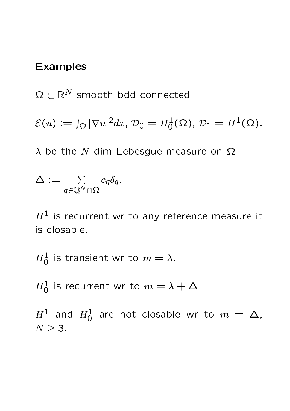## Examples

 $\Omega\subset\mathbb{R}^N$  smooth bdd connected

 $\mathcal{E}(u) := \int_{\Omega} |\nabla u|^2 dx$ ,  $\mathcal{D}_0 = H_0^1(\Omega)$ ,  $\mathcal{D}_1 = H^1(\Omega)$ .

 $\lambda$  be the N-dim Lebesgue measure on  $\Omega$ 

$$
\Delta := \sum_{q \in \mathbb{Q}^N \cap \Omega} c_q \delta_q.
$$

 $H<sup>1</sup>$  is recurrent wr to any reference measure it is closable.

 $H_0^1$  is transient wr to  $m=\lambda$ .

 $H_0^1$  is recurrent wr to  $m = \lambda + \Delta$ .

 $H^1$  and  $H_0^1$  are not closable wr to  $m = \Delta$ ,  $N \geq 3$ .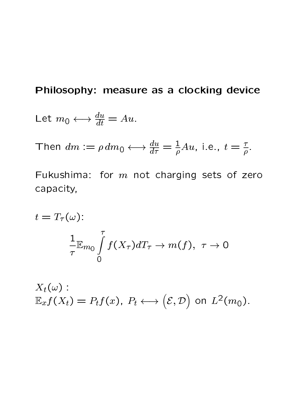## Philosophy: measure as a clocking device

Let 
$$
m_0 \leftrightarrow \frac{du}{dt} = Au
$$
.

Then 
$$
dm := \rho dm_0 \longleftrightarrow \frac{du}{d\tau} = \frac{1}{\rho} Au
$$
, i.e.,  $t = \frac{\tau}{\rho}$ .

Fukushima: for  $m$  not charging sets of zero capacity,

$$
t = T_{\tau}(\omega):
$$
  

$$
\frac{1}{\tau} \mathbb{E}_{m_0} \int_{0}^{\tau} f(X_{\tau}) dT_{\tau} \to m(f), \ \tau \to 0
$$

 $X_t(\omega)$  :  $\mathbb{E}_x f(X_t) = P_t f(x), P_t \longleftrightarrow (\mathcal{E}, \mathcal{D})$ ) on  $L^2(m_0)$ .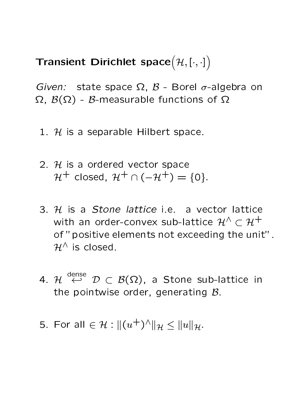#### Transient Dirichlet space $(\mathcal{H},[\cdot,\cdot])$  $\overline{\phantom{0}}$

Given: state space  $\Omega$ ,  $\beta$  - Borel  $\sigma$ -algebra on  $\Omega$ ,  $\mathcal{B}(\Omega)$  - B-measurable functions of  $\Omega$ 

- 1.  $H$  is a separable Hilbert space.
- 2.  $H$  is a ordered vector space  $\mathcal{H}^+$  closed,  $\mathcal{H}^+ \cap (-\mathcal{H}^+) = \{0\}.$
- 3. H is a *Stone lattice* i.e. a vector lattice with an order-convex sub-lattice  $\mathcal{H}^{\wedge} \subset \mathcal{H}^{+}$ of "positive elements not exceeding the unit".  $\mathcal{H}^{\wedge}$  is closed.
- 4. H dense  $\stackrel{c}{\leftrightarrow} \mathcal{D} \subset \mathcal{B}(\Omega)$ , a Stone sub-lattice in the pointwise order, generating  $B$ .
- 5. For all  $\in \mathcal{H} : \| (u^+)^{\wedge} \|_{\mathcal{H}} \leq \| u \|_{\mathcal{H}}.$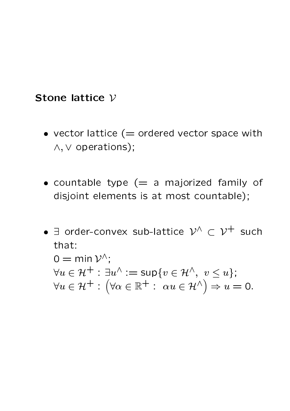# Stone lattice  $V$

- $\bullet$  vector lattice (= ordered vector space with  $\wedge$ ,  $\vee$  operations);
- countable type  $(= a$  majorized family of disjoint elements is at most countable);
- $\bullet$   $\exists$  order-convex sub-lattice  $\mathcal{V}^{\wedge} \, \subset \, \mathcal{V}^+$  such that:  $0 = \min \mathcal{V}^{\wedge};$  $\forall u \in \mathcal{H}^+:\, \exists u^\wedge := \mathsf{sup}\{v \in \mathcal{H}^\wedge,\,\, v \leq u\};$  $\forall u \in \mathcal{H}^+ : (\forall \alpha \in \mathbb{R}^+ : \alpha u \in \mathcal{H}^\wedge)$  $\Rightarrow$   $u = 0.$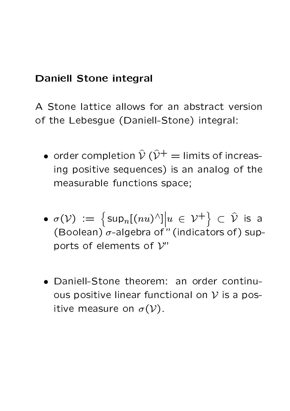# Daniell Stone integral

A Stone lattice allows for an abstract version of the Lebesgue (Daniell-Stone) integral:

- order completion  $\hat{\mathcal{V}}$  ( $\hat{\mathcal{V}}^+$  = limits of increasing positive sequences) is an analog of the measurable functions space;
- $\bullet$   $\sigma(\mathcal{V})$   $:=$   $\big\{ \sup_n [(nu)^{\wedge}] \big\vert$  $u \in \mathcal{V}^+\}$  $\subset$   $\mathcal{V}$  is a (Boolean)  $\sigma$ -algebra of " (indicators of) supports of elements of  $V''$
- Daniell-Stone theorem: an order continuous positive linear functional on  $V$  is a positive measure on  $\sigma(\mathcal{V})$ .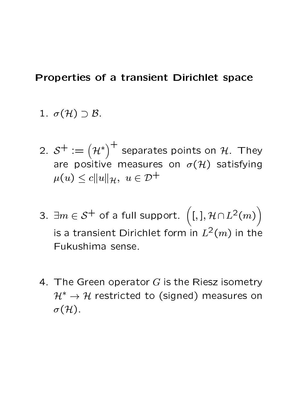#### Properties of a transient Dirichlet space

1. 
$$
\sigma(\mathcal{H}) \supset \mathcal{B}
$$
.

- 2.  $S^+ := (\mathcal{H}^*)$  $\rightarrow +$ separates points on  $\mathcal{H}$ . They are positive measures on  $\sigma(\mathcal{H})$  satisfying  $\mu(u) \leq c||u||_{\mathcal{H}}, u \in \mathcal{D}^+$
- 3.  $\exists m \in \mathcal{S}^+$  of a full support.  $\Big( [ , ], \mathcal{H} \cap L^2(m) \Big)$  $\overline{\phantom{0}}$ is a transient Dirichlet form in  $L^2(m)$  in the Fukushima sense.
- 4. The Green operator  $G$  is the Riesz isometry  $\mathcal{H}^* \to \mathcal{H}$  restricted to (signed) measures on  $\sigma(\mathcal{H})$ .